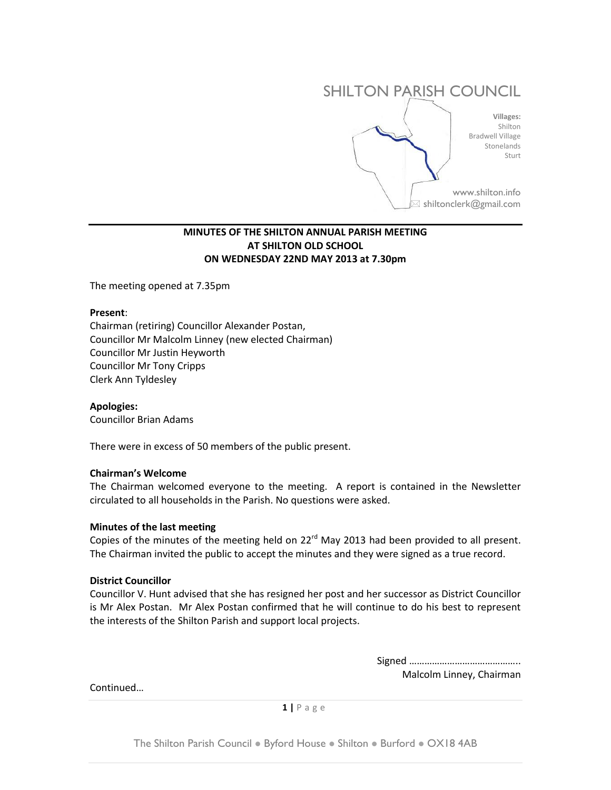

# **MINUTES OF THE SHILTON ANNUAL PARISH MEETING AT SHILTON OLD SCHOOL ON WEDNESDAY 22ND MAY 2013 at 7.30pm**

The meeting opened at 7.35pm

#### **Present**:

Chairman (retiring) Councillor Alexander Postan, Councillor Mr Malcolm Linney (new elected Chairman) Councillor Mr Justin Heyworth Councillor Mr Tony Cripps Clerk Ann Tyldesley

## **Apologies:**

Councillor Brian Adams

There were in excess of 50 members of the public present.

## **Chairman's Welcome**

The Chairman welcomed everyone to the meeting. A report is contained in the Newsletter circulated to all households in the Parish. No questions were asked.

#### **Minutes of the last meeting**

Copies of the minutes of the meeting held on 22<sup>rd</sup> May 2013 had been provided to all present. The Chairman invited the public to accept the minutes and they were signed as a true record.

#### **District Councillor**

Councillor V. Hunt advised that she has resigned her post and her successor as District Councillor is Mr Alex Postan. Mr Alex Postan confirmed that he will continue to do his best to represent the interests of the Shilton Parish and support local projects.

> Signed …………………………………….. Malcolm Linney, Chairman

Continued…

**1 |** P a g e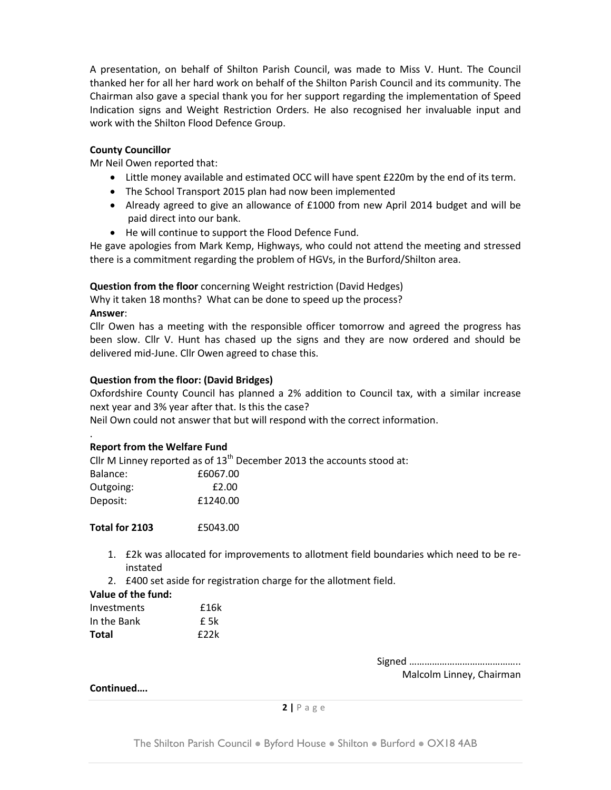A presentation, on behalf of Shilton Parish Council, was made to Miss V. Hunt. The Council thanked her for all her hard work on behalf of the Shilton Parish Council and its community. The Chairman also gave a special thank you for her support regarding the implementation of Speed Indication signs and Weight Restriction Orders. He also recognised her invaluable input and work with the Shilton Flood Defence Group.

# **County Councillor**

Mr Neil Owen reported that:

- Little money available and estimated OCC will have spent £220m by the end of its term.
- The School Transport 2015 plan had now been implemented
- Already agreed to give an allowance of £1000 from new April 2014 budget and will be paid direct into our bank.
- He will continue to support the Flood Defence Fund.

He gave apologies from Mark Kemp, Highways, who could not attend the meeting and stressed there is a commitment regarding the problem of HGVs, in the Burford/Shilton area.

**Question from the floor** concerning Weight restriction (David Hedges)

Why it taken 18 months? What can be done to speed up the process? **Answer**:

Cllr Owen has a meeting with the responsible officer tomorrow and agreed the progress has been slow. Cllr V. Hunt has chased up the signs and they are now ordered and should be delivered mid-June. Cllr Owen agreed to chase this.

# **Question from the floor: (David Bridges)**

Oxfordshire County Council has planned a 2% addition to Council tax, with a similar increase next year and 3% year after that. Is this the case?

Neil Own could not answer that but will respond with the correct information.

#### . **Report from the Welfare Fund**

Cllr M Linney reported as of  $13<sup>th</sup>$  December 2013 the accounts stood at:

| £6067.00 |
|----------|
| £2.00    |
| £1240.00 |
|          |

**Total for 2103** £5043.00

- 1. £2k was allocated for improvements to allotment field boundaries which need to be reinstated
- 2. £400 set aside for registration charge for the allotment field.

## **Value of the fund:**

| Investments | £16k |
|-------------|------|
| In the Bank | f 5k |
| Total       | f22k |

Signed …………………………………….. Malcolm Linney, Chairman

## **Continued….**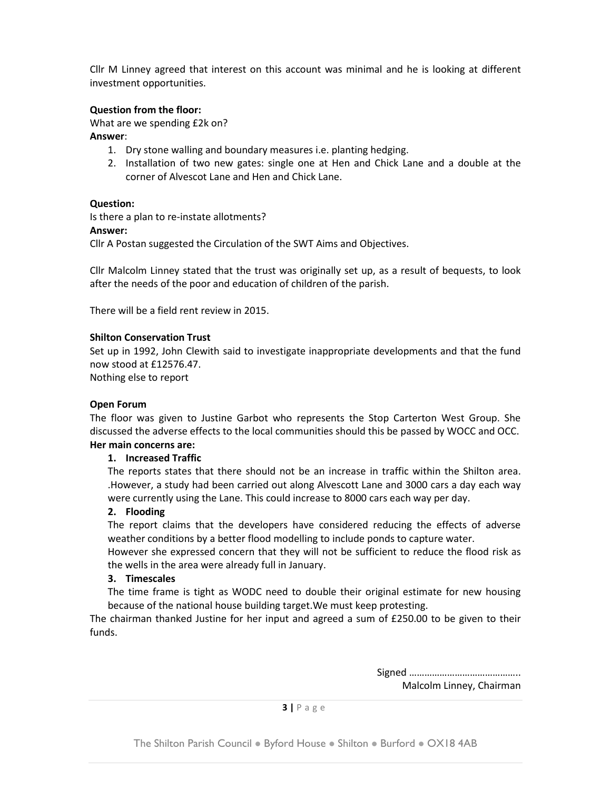Cllr M Linney agreed that interest on this account was minimal and he is looking at different investment opportunities.

# **Question from the floor:**

What are we spending £2k on?

## **Answer**:

- 1. Dry stone walling and boundary measures i.e. planting hedging.
- 2. Installation of two new gates: single one at Hen and Chick Lane and a double at the corner of Alvescot Lane and Hen and Chick Lane.

## **Question:**

Is there a plan to re-instate allotments?

## **Answer:**

Cllr A Postan suggested the Circulation of the SWT Aims and Objectives.

Cllr Malcolm Linney stated that the trust was originally set up, as a result of bequests, to look after the needs of the poor and education of children of the parish.

There will be a field rent review in 2015.

# **Shilton Conservation Trust**

Set up in 1992, John Clewith said to investigate inappropriate developments and that the fund now stood at £12576.47.

Nothing else to report

## **Open Forum**

The floor was given to Justine Garbot who represents the Stop Carterton West Group. She discussed the adverse effects to the local communities should this be passed by WOCC and OCC. **Her main concerns are:**

## **1. Increased Traffic**

The reports states that there should not be an increase in traffic within the Shilton area. .However, a study had been carried out along Alvescott Lane and 3000 cars a day each way were currently using the Lane. This could increase to 8000 cars each way per day.

## **2. Flooding**

The report claims that the developers have considered reducing the effects of adverse weather conditions by a better flood modelling to include ponds to capture water.

However she expressed concern that they will not be sufficient to reduce the flood risk as the wells in the area were already full in January.

## **3. Timescales**

The time frame is tight as WODC need to double their original estimate for new housing because of the national house building target.We must keep protesting.

The chairman thanked Justine for her input and agreed a sum of £250.00 to be given to their funds.

> Signed …………………………………….. Malcolm Linney, Chairman